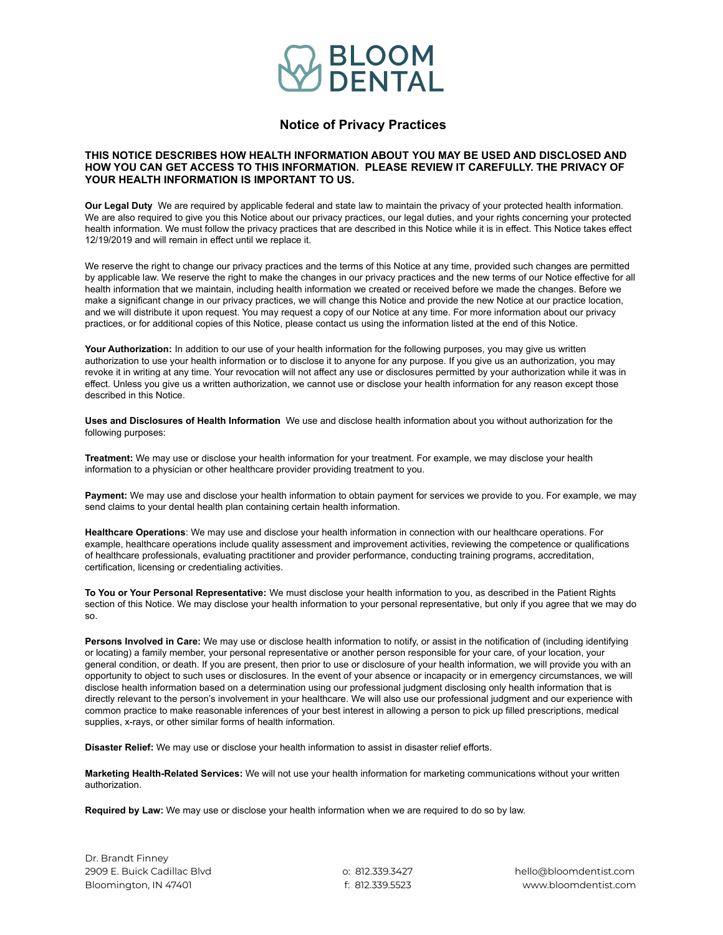

## **Notice of Privacy Practices**

## **THIS NOTICE DESCRIBES HOW HEALTH INFORMATION ABOUT YOU MAY BE USED AND DISCLOSED AND HOW YOU CAN GET ACCESS TO THIS INFORMATION. PLEASE REVIEW IT CAREFULLY. THE PRIVACY OF YOUR HEALTH INFORMATION IS IMPORTANT TO US.**

**Our Legal Duty** We are required by applicable federal and state law to maintain the privacy of your protected health information. We are also required to give you this Notice about our privacy practices, our legal duties, and your rights concerning your protected health information. We must follow the privacy practices that are described in this Notice while it is in effect. This Notice takes effect 12/19/2019 and will remain in effect until we replace it.

We reserve the right to change our privacy practices and the terms of this Notice at any time, provided such changes are permitted by applicable law. We reserve the right to make the changes in our privacy practices and the new terms of our Notice effective for all health information that we maintain, including health information we created or received before we made the changes. Before we make a significant change in our privacy practices, we will change this Notice and provide the new Notice at our practice location, and we will distribute it upon request. You may request a copy of our Notice at any time. For more information about our privacy practices, or for additional copies of this Notice, please contact us using the information listed at the end of this Notice.

**Your Authorization:** In addition to our use of your health information for the following purposes, you may give us written authorization to use your health information or to disclose it to anyone for any purpose. If you give us an authorization, you may revoke it in writing at any time. Your revocation will not affect any use or disclosures permitted by your authorization while it was in effect. Unless you give us a written authorization, we cannot use or disclose your health information for any reason except those described in this Notice.

**Uses and Disclosures of Health Information** We use and disclose health information about you without authorization for the following purposes:

**Treatment:** We may use or disclose your health information for your treatment. For example, we may disclose your health information to a physician or other healthcare provider providing treatment to you.

**Payment:** We may use and disclose your health information to obtain payment for services we provide to you. For example, we may send claims to your dental health plan containing certain health information.

**Healthcare Operations**: We may use and disclose your health information in connection with our healthcare operations. For example, healthcare operations include quality assessment and improvement activities, reviewing the competence or qualifications of healthcare professionals, evaluating practitioner and provider performance, conducting training programs, accreditation, certification, licensing or credentialing activities.

**To You or Your Personal Representative:** We must disclose your health information to you, as described in the Patient Rights section of this Notice. We may disclose your health information to your personal representative, but only if you agree that we may do so.

**Persons Involved in Care:** We may use or disclose health information to notify, or assist in the notification of (including identifying or locating) a family member, your personal representative or another person responsible for your care, of your location, your general condition, or death. If you are present, then prior to use or disclosure of your health information, we will provide you with an opportunity to object to such uses or disclosures. In the event of your absence or incapacity or in emergency circumstances, we will disclose health information based on a determination using our professional judgment disclosing only health information that is directly relevant to the person's involvement in your healthcare. We will also use our professional judgment and our experience with common practice to make reasonable inferences of your best interest in allowing a person to pick up filled prescriptions, medical supplies, x-rays, or other similar forms of health information.

**Disaster Relief:** We may use or disclose your health information to assist in disaster relief efforts.

**Marketing Health-Related Services:** We will not use your health information for marketing communications without your written authorization.

**Required by Law:** We may use or disclose your health information when we are required to do so by law.